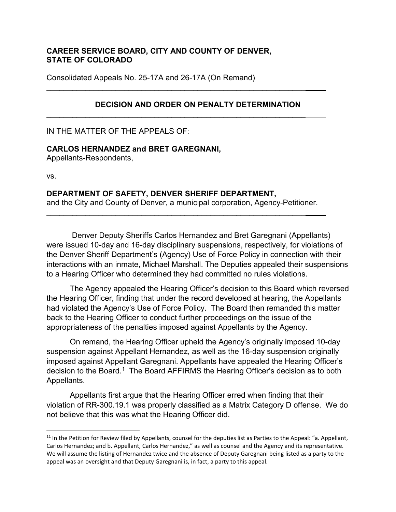## **CAREER SERVICE BOARD, CITY AND COUNTY OF DENVER, STATE OF COLORADO**

\_\_\_\_\_\_\_\_\_\_\_\_\_\_\_\_\_\_\_\_\_\_\_\_\_\_\_\_\_\_\_\_\_\_\_\_\_\_\_\_\_\_\_\_\_\_\_\_\_\_\_\_\_\_\_\_\_\_\_\_

\_\_\_\_\_\_\_\_\_\_\_\_\_\_\_\_\_\_\_\_\_\_\_\_\_\_\_\_\_\_\_\_\_\_\_\_\_\_\_\_\_\_\_\_\_\_\_\_\_\_\_\_\_\_\_\_\_\_\_\_

Consolidated Appeals No. 25-17A and 26-17A (On Remand)

# **DECISION AND ORDER ON PENALTY DETERMINATION**

IN THE MATTER OF THE APPEALS OF:

### **CARLOS HERNANDEZ and BRET GAREGNANI,**

Appellants-Respondents,

vs.

#### **DEPARTMENT OF SAFETY, DENVER SHERIFF DEPARTMENT,**

and the City and County of Denver, a municipal corporation, Agency-Petitioner.

\_\_\_\_\_\_\_\_\_\_\_\_\_\_\_\_\_\_\_\_\_\_\_\_\_\_\_\_\_\_\_\_\_\_\_\_\_\_\_\_\_\_\_\_\_\_\_\_\_\_\_\_\_\_\_\_\_\_\_\_

Denver Deputy Sheriffs Carlos Hernandez and Bret Garegnani (Appellants) were issued 10-day and 16-day disciplinary suspensions, respectively, for violations of the Denver Sheriff Department's (Agency) Use of Force Policy in connection with their interactions with an inmate, Michael Marshall. The Deputies appealed their suspensions to a Hearing Officer who determined they had committed no rules violations.

The Agency appealed the Hearing Officer's decision to this Board which reversed the Hearing Officer, finding that under the record developed at hearing, the Appellants had violated the Agency's Use of Force Policy. The Board then remanded this matter back to the Hearing Officer to conduct further proceedings on the issue of the appropriateness of the penalties imposed against Appellants by the Agency.

On remand, the Hearing Officer upheld the Agency's originally imposed 10-day suspension against Appellant Hernandez, as well as the 16-day suspension originally imposed against Appellant Garegnani. Appellants have appealed the Hearing Officer's decision to the Board.<sup>[1](#page-0-0)</sup> The Board AFFIRMS the Hearing Officer's decision as to both Appellants.

Appellants first argue that the Hearing Officer erred when finding that their violation of RR-300.19.1 was properly classified as a Matrix Category D offense. We do not believe that this was what the Hearing Officer did.

<span id="page-0-0"></span> $11$  In the Petition for Review filed by Appellants, counsel for the deputies list as Parties to the Appeal: "a. Appellant, Carlos Hernandez; and b. Appellant, Carlos Hernandez," as well as counsel and the Agency and its representative. We will assume the listing of Hernandez twice and the absence of Deputy Garegnani being listed as a party to the appeal was an oversight and that Deputy Garegnani is, in fact, a party to this appeal.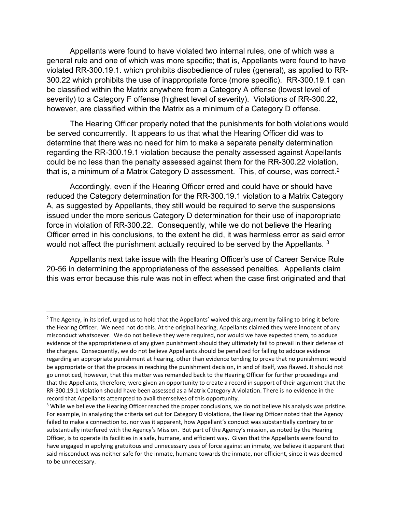Appellants were found to have violated two internal rules, one of which was a general rule and one of which was more specific; that is, Appellants were found to have violated RR-300.19.1. which prohibits disobedience of rules (general), as applied to RR-300.22 which prohibits the use of inappropriate force (more specific). RR-300.19.1 can be classified within the Matrix anywhere from a Category A offense (lowest level of severity) to a Category F offense (highest level of severity). Violations of RR-300.22, however, are classified within the Matrix as a minimum of a Category D offense.

The Hearing Officer properly noted that the punishments for both violations would be served concurrently. It appears to us that what the Hearing Officer did was to determine that there was no need for him to make a separate penalty determination regarding the RR-300.19.1 violation because the penalty assessed against Appellants could be no less than the penalty assessed against them for the RR-300.22 violation, that is, a minimum of a Matrix Category D assessment. This, of course, was correct.[2](#page-1-0)

Accordingly, even if the Hearing Officer erred and could have or should have reduced the Category determination for the RR-300.19.1 violation to a Matrix Category A, as suggested by Appellants, they still would be required to serve the suspensions issued under the more serious Category D determination for their use of inappropriate force in violation of RR-300.22. Consequently, while we do not believe the Hearing Officer erred in his conclusions, to the extent he did, it was harmless error as said error would not affect the punishment actually required to be served by the Appellants.<sup>[3](#page-1-1)</sup>

Appellants next take issue with the Hearing Officer's use of Career Service Rule 20-56 in determining the appropriateness of the assessed penalties. Appellants claim this was error because this rule was not in effect when the case first originated and that

<span id="page-1-0"></span> $2$  The Agency, in its brief, urged us to hold that the Appellants' waived this argument by failing to bring it before the Hearing Officer. We need not do this. At the original hearing, Appellants claimed they were innocent of any misconduct whatsoever. We do not believe they were required, nor would we have expected them, to adduce evidence of the appropriateness of any given punishment should they ultimately fail to prevail in their defense of the charges. Consequently, we do not believe Appellants should be penalized for failing to adduce evidence regarding an appropriate punishment at hearing, other than evidence tending to prove that no punishment would be appropriate or that the process in reaching the punishment decision, in and of itself, was flawed. It should not go unnoticed, however, that this matter was remanded back to the Hearing Officer for further proceedings and that the Appellants, therefore, were given an opportunity to create a record in support of their argument that the RR-300.19.1 violation should have been assessed as a Matrix Category A violation. There is no evidence in the record that Appellants attempted to avail themselves of this opportunity.

<span id="page-1-1"></span><sup>&</sup>lt;sup>3</sup> While we believe the Hearing Officer reached the proper conclusions, we do not believe his analysis was pristine. For example, in analyzing the criteria set out for Category D violations, the Hearing Officer noted that the Agency failed to make a connection to, nor was it apparent, how Appellant's conduct was substantially contrary to or substantially interfered with the Agency's Mission. But part of the Agency's mission, as noted by the Hearing Officer, is to operate its facilities in a safe, humane, and efficient way. Given that the Appellants were found to have engaged in applying gratuitous and unnecessary uses of force against an inmate, we believe it apparent that said misconduct was neither safe for the inmate, humane towards the inmate, nor efficient, since it was deemed to be unnecessary.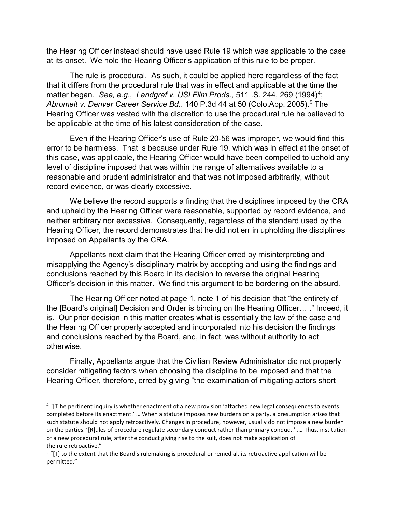the Hearing Officer instead should have used Rule 19 which was applicable to the case at its onset. We hold the Hearing Officer's application of this rule to be proper.

The rule is procedural. As such, it could be applied here regardless of the fact that it differs from the procedural rule that was in effect and applicable at the time the matter began. *See, e.g*., *[Landgraf v. USI Film Prods.,](https://1.next.westlaw.com/Link/Document/FullText?findType=Y&serNum=1994092115&pubNum=0000780&originatingDoc=I40a84e81f9f211e2a160cacff148223f&refType=RP&fi=co_pp_sp_780_269&originationContext=document&transitionType=DocumentItem&contextData=(sc.Search)#co_pp_sp_780_269)* 511 .S. 244, 269 (1994)[4;](#page-2-0) [Abromeit v. Denver Career Service Bd.](https://1.next.westlaw.com/Document/I4dcf7f340a7011dab072a248d584787d/View/FullText.html?listSource=Search&navigationPath=Search%2fv1%2fresults%2fnavigation%2fi0ad73aa600000171cc06cb2548cd6fc8%3fNav%3dCASE%26fragmentIdentifier%3dI4dcf7f340a7011dab072a248d584787d%26parentRank%3d0%26startIndex%3d41%26contextData%3d%2528sc.Search%2529%26transitionType%3dSearchItem&list=CASE&rank=53&listPageSource=7d63c98216e703692904c4eb6ea1feaf&originationContext=docHeader&contextData=(sc.Search)&transitionType=Document&needToInjectTerms=False&enableBestPortion=True&docSource=e6ec279d758e4c8292245a9cb5a18794), 140 P.3d 44 at [5](#page-2-1)0 (Colo.App. 2005).<sup>5</sup> The Hearing Officer was vested with the discretion to use the procedural rule he believed to be applicable at the time of his latest consideration of the case.

Even if the Hearing Officer's use of Rule 20-56 was improper, we would find this error to be harmless. That is because under Rule 19, which was in effect at the onset of this case, was applicable, the Hearing Officer would have been compelled to uphold any level of discipline imposed that was within the range of alternatives available to a reasonable and prudent administrator and that was not imposed arbitrarily, without record evidence, or was clearly excessive.

We believe the record supports a finding that the disciplines imposed by the CRA and upheld by the Hearing Officer were reasonable, supported by record evidence, and neither arbitrary nor excessive. Consequently, regardless of the standard used by the Hearing Officer, the record demonstrates that he did not err in upholding the disciplines imposed on Appellants by the CRA.

Appellants next claim that the Hearing Officer erred by misinterpreting and misapplying the Agency's disciplinary matrix by accepting and using the findings and conclusions reached by this Board in its decision to reverse the original Hearing Officer's decision in this matter. We find this argument to be bordering on the absurd.

The Hearing Officer noted at page 1, note 1 of his decision that "the entirety of the [Board's original] Decision and Order is binding on the Hearing Officer… ." Indeed, it is. Our prior decision in this matter creates what is essentially the law of the case and the Hearing Officer properly accepted and incorporated into his decision the findings and conclusions reached by the Board, and, in fact, was without authority to act otherwise.

Finally, Appellants argue that the Civilian Review Administrator did not properly consider mitigating factors when choosing the discipline to be imposed and that the Hearing Officer, therefore, erred by giving "the examination of mitigating actors short

<span id="page-2-0"></span> <sup>4</sup> "[T]he pertinent inquiry is whether enactment of a new provision 'attached new legal consequences to events completed before its enactment.' … When a statute imposes new burdens on a party, a presumption arises that such statute should not apply retroactively. Changes in procedure, however, usually do not impose a new burden on the parties. '[R]ules of procedure regulate secondary conduct rather than primary conduct.' …*.* Thus, institution of a new procedural rule, after the conduct giving rise to the suit, does not make application of the rule retroactive."

<span id="page-2-1"></span><sup>&</sup>lt;sup>5</sup> "[T] to the extent that the Board's rulemaking is procedural or remedial, its retroactive application will be permitted."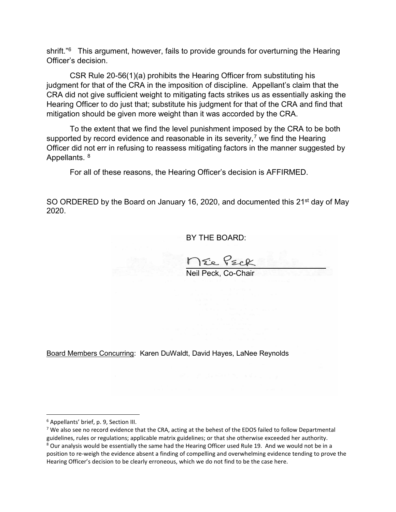shrift."<sup>[6](#page-3-0)</sup> This argument, however, fails to provide grounds for overturning the Hearing Officer's decision.

CSR Rule 20-56(1)(a) prohibits the Hearing Officer from substituting his judgment for that of the CRA in the imposition of discipline. Appellant's claim that the CRA did not give sufficient weight to mitigating facts strikes us as essentially asking the Hearing Officer to do just that; substitute his judgment for that of the CRA and find that mitigation should be given more weight than it was accorded by the CRA.

To the extent that we find the level punishment imposed by the CRA to be both supported by record evidence and reasonable in its severity,<sup>[7](#page-3-1)</sup> we find the Hearing Officer did not err in refusing to reassess mitigating factors in the manner suggested by Appellants. [8](#page-3-2)

For all of these reasons, the Hearing Officer's decision is AFFIRMED.

SO ORDERED by the Board on January 16, 2020, and documented this 21<sup>st</sup> day of May 2020.

BY THE BOARD:

Neil Peck, Co-Chair

Board Members Concurring: Karen DuWaldt, David Hayes, LaNee Reynolds

<span id="page-3-0"></span> <sup>6</sup> Appellants' brief, p. 9, Section III.

<span id="page-3-2"></span><span id="page-3-1"></span><sup>&</sup>lt;sup>7</sup> We also see no record evidence that the CRA, acting at the behest of the EDOS failed to follow Departmental guidelines, rules or regulations; applicable matrix guidelines; or that she otherwise exceeded her authority. <sup>8</sup> Our analysis would be essentially the same had the Hearing Officer used Rule 19. And we would not be in a position to re-weigh the evidence absent a finding of compelling and overwhelming evidence tending to prove the Hearing Officer's decision to be clearly erroneous, which we do not find to be the case here.